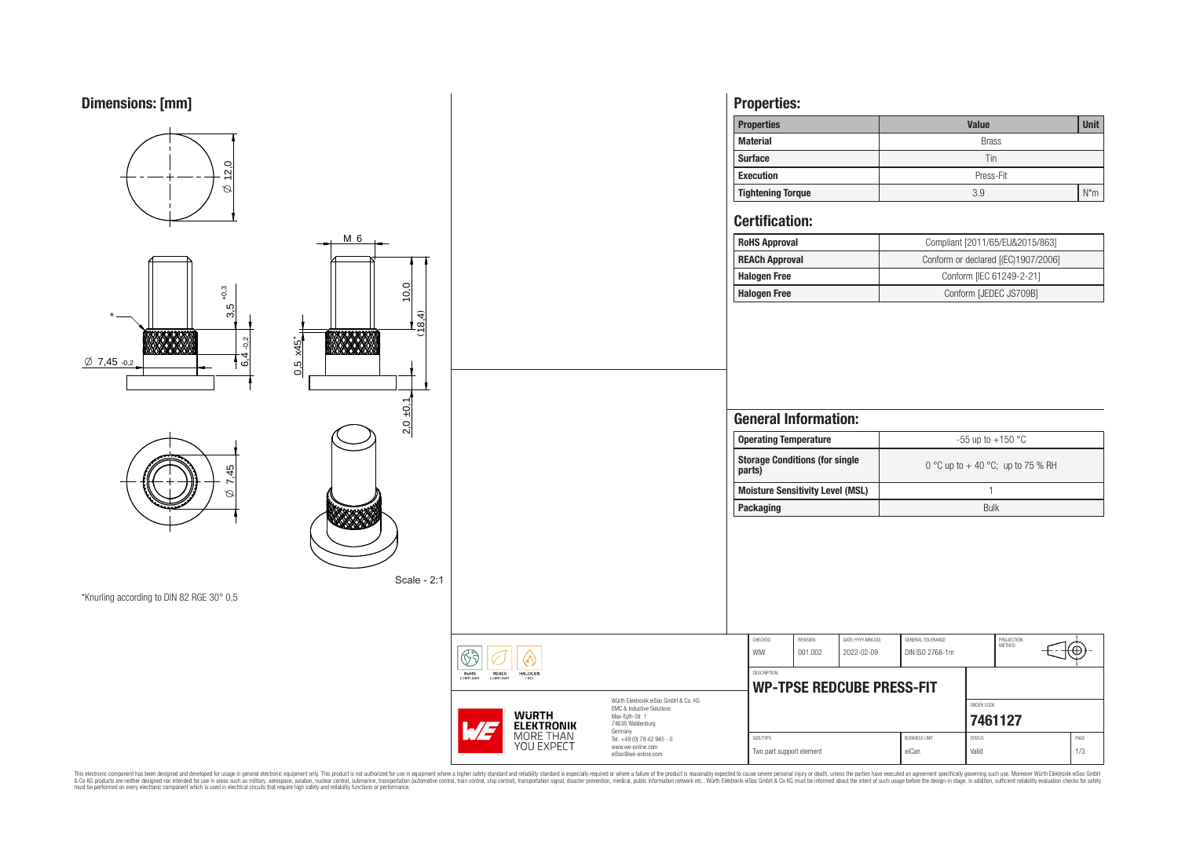

This electronic component has been designed and developed for usage in general electronic equipment only. This product is not authorized for subserved requipment where a higher selection equipment where a higher selection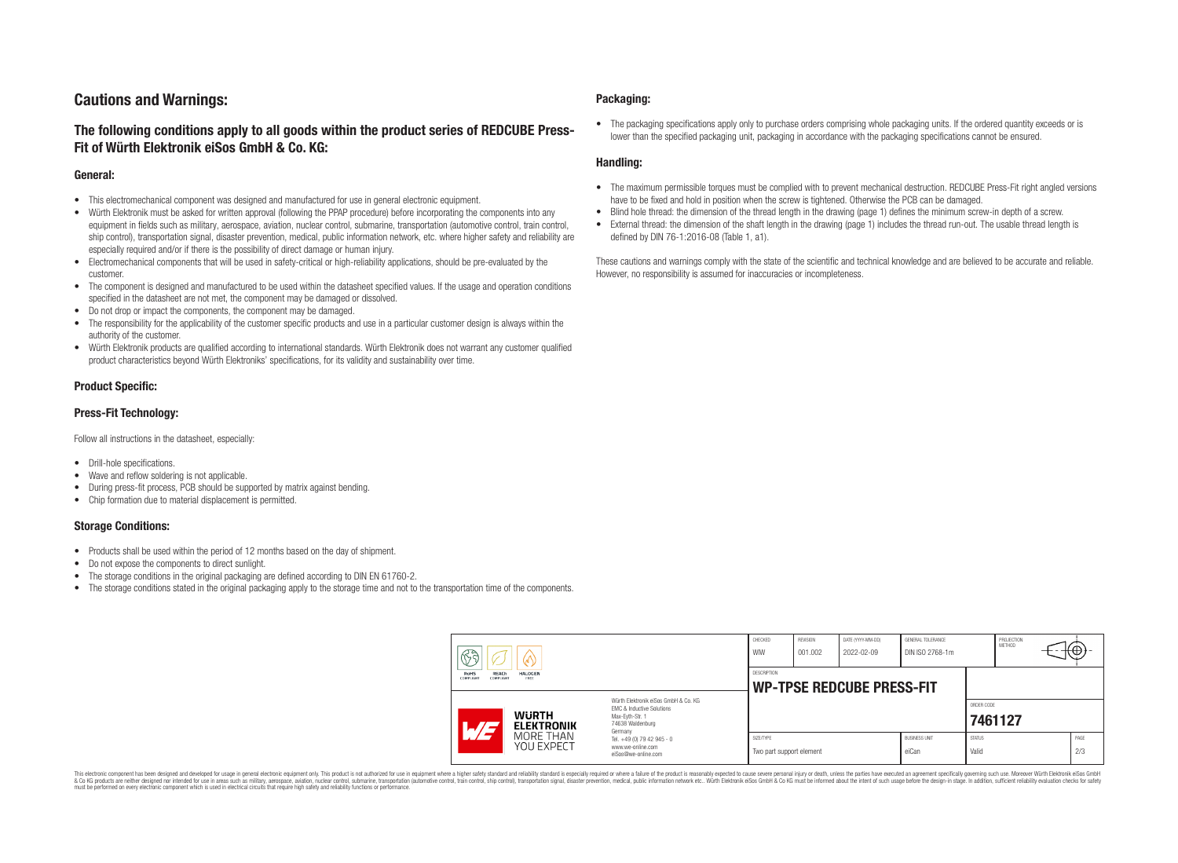# **Cautions and Warnings:**

# **The following conditions apply to all goods within the product series of REDCUBE Press-Fit of Würth Elektronik eiSos GmbH & Co. KG:**

### **General:**

- This electromechanical component was designed and manufactured for use in general electronic equipment.
- Würth Elektronik must be asked for written approval (following the PPAP procedure) before incorporating the components into any equipment in fields such as military, aerospace, aviation, nuclear control, submarine, transportation (automotive control, train control, ship control), transportation signal, disaster prevention, medical, public information network, etc. where higher safety and reliability are especially required and/or if there is the possibility of direct damage or human injury.
- Electromechanical components that will be used in safety-critical or high-reliability applications, should be pre-evaluated by the customer.
- The component is designed and manufactured to be used within the datasheet specified values. If the usage and operation conditions specified in the datasheet are not met, the component may be damaged or dissolved.
- Do not drop or impact the components, the component may be damaged.
- The responsibility for the applicability of the customer specific products and use in a particular customer design is always within the authority of the customer.
- Würth Elektronik products are qualified according to international standards. Würth Elektronik does not warrant any customer qualified product characteristics beyond Würth Elektroniks' specifications, for its validity and sustainability over time.

### **Product Specific:**

### **Press-Fit Technology:**

Follow all instructions in the datasheet, especially:

- Drill-hole specifications.
- Wave and reflow soldering is not applicable.
- During press-fit process, PCB should be supported by matrix against bending.
- Chip formation due to material displacement is permitted.

### **Storage Conditions:**

- Products shall be used within the period of 12 months based on the day of shipment.
- Do not expose the components to direct sunlight.
- The storage conditions in the original packaging are defined according to DIN EN 61760-2.
- The storage conditions stated in the original packaging apply to the storage time and not to the transportation time of the components.

### **Packaging:**

• The packaging specifications apply only to purchase orders comprising whole packaging units. If the ordered quantity exceeds or is lower than the specified packaging unit, packaging in accordance with the packaging specifications cannot be ensured.

### **Handling:**

- The maximum permissible torques must be complied with to prevent mechanical destruction. REDCUBE Press-Fit right angled versions have to be fixed and hold in position when the screw is tightened. Otherwise the PCB can be damaged.
- Blind hole thread: the dimension of the thread length in the drawing (page 1) defines the minimum screw-in depth of a screw.
- External thread: the dimension of the shaft length in the drawing (page 1) includes the thread run-out. The usable thread length is defined by DIN 76-1:2016-08 (Table 1, a1).

These cautions and warnings comply with the state of the scientific and technical knowledge and are believed to be accurate and reliable. However, no responsibility is assumed for inaccuracies or incompleteness.

| $\mathbb{R}$ a<br>V<br><b>RoHS</b><br>REACh<br><b>HALOGEN</b><br>COMPLIANT<br>ERFF<br>COMPLIANT |                                                                                                                                                                                               | CHECKED<br>WIW                                         | <b>REVISION</b><br>001.002 | DATE (YYYY-MM-DD)<br>2022-02-09 | GENERAL TOLERANCE<br>DIN ISO 2768-1m |                        | PROJECTION<br>METHOD  |  | rt⊕⊷        |
|-------------------------------------------------------------------------------------------------|-----------------------------------------------------------------------------------------------------------------------------------------------------------------------------------------------|--------------------------------------------------------|----------------------------|---------------------------------|--------------------------------------|------------------------|-----------------------|--|-------------|
|                                                                                                 |                                                                                                                                                                                               | <b>DESCRIPTION</b><br><b>WP-TPSE REDCUBE PRESS-FIT</b> |                            |                                 |                                      |                        |                       |  |             |
| <b>WURTH</b><br>$\sqrt{47}$<br><b>ELEKTRONIK</b>                                                | Würth Flektronik eiSos GmbH & Co. KG<br>EMC & Inductive Solutions<br>Max-Evth-Str. 1<br>74638 Waldenburg<br>Germany<br>Tel. +49 (0) 79 42 945 - 0<br>www.we-online.com<br>eiSos@we-online.com |                                                        |                            |                                 |                                      |                        | ORDER CODE<br>7461127 |  |             |
| MORE THAN<br>YOU EXPECT                                                                         |                                                                                                                                                                                               | SIZE/TYPE<br>Two part support element                  |                            |                                 | <b>BUSINESS UNIT</b><br>eiCan        | <b>STATUS</b><br>Valid |                       |  | PAGE<br>2/3 |

This electronic component has been designed and developed for usage in general electronic equipment only. This product is not authorized for use in equipment where a higher safety standard and reliability standard si espec & Ook product a label and the membed of the seasuch as marked and as which such a membed and the such assume that income in the seasuch and the simulation and the such assume that include to the such a membed and the such